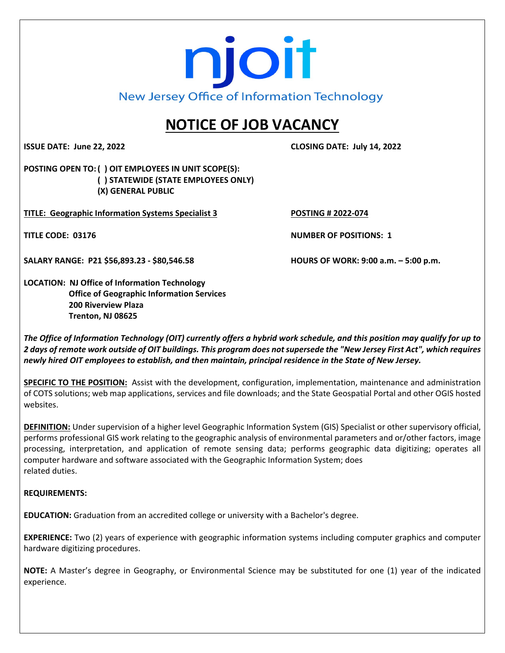# njoit New Jersey Office of Information Technology

## **NOTICE OF JOB VACANCY**

**ISSUE DATE: June 22, 2022 CLOSING DATE: July 14, 2022**

**POSTING OPEN TO: ( ) OIT EMPLOYEES IN UNIT SCOPE(S): ( ) STATEWIDE (STATE EMPLOYEES ONLY) (X) GENERAL PUBLIC**

**TITLE: Geographic Information Systems Specialist 3 POSTING # 2022-074**

**TITLE CODE: 03176 NUMBER OF POSITIONS: 1**

**SALARY RANGE: P21 \$56,893.23 - \$80,546.58 HOURS OF WORK: 9:00 a.m. – 5:00 p.m.**

**LOCATION: NJ Office of Information Technology Office of Geographic Information Services 200 Riverview Plaza Trenton, NJ 08625**

*The Office of Information Technology (OIT) currently offers a hybrid work schedule, and this position may qualify for up to 2 days of remote work outside of OIT buildings. This program does not supersede the "New Jersey First Act", which requires newly hired OIT employees to establish, and then maintain, principal residence in the State of New Jersey.*

**SPECIFIC TO THE POSITION:** Assist with the development, configuration, implementation, maintenance and administration of COTS solutions; web map applications, services and file downloads; and the State Geospatial Portal and other OGIS hosted websites.

**DEFINITION:** Under supervision of a higher level Geographic Information System (GIS) Specialist or other supervisory official, performs professional GIS work relating to the geographic analysis of environmental parameters and or/other factors, image processing, interpretation, and application of remote sensing data; performs geographic data digitizing; operates all computer hardware and software associated with the Geographic Information System; does related duties.

#### **REQUIREMENTS:**

**EDUCATION:** Graduation from an accredited college or university with a Bachelor's degree.

**EXPERIENCE:** Two (2) years of experience with geographic information systems including computer graphics and computer hardware digitizing procedures.

**NOTE:** A Master's degree in Geography, or Environmental Science may be substituted for one (1) year of the indicated experience.